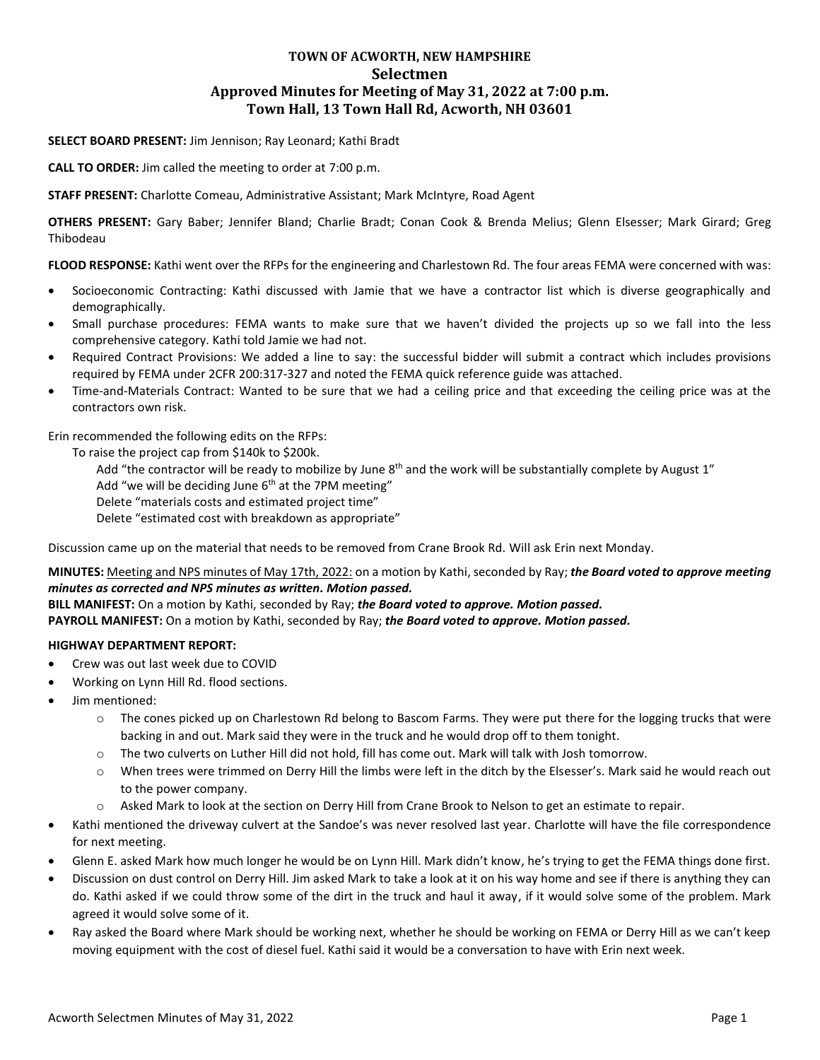# **TOWN OF ACWORTH, NEW HAMPSHIRE Selectmen Approved Minutes for Meeting of May 31, 2022 at 7:00 p.m. Town Hall, 13 Town Hall Rd, Acworth, NH 03601**

## **SELECT BOARD PRESENT:** Jim Jennison; Ray Leonard; Kathi Bradt

**CALL TO ORDER:** Jim called the meeting to order at 7:00 p.m.

**STAFF PRESENT:** Charlotte Comeau, Administrative Assistant; Mark McIntyre, Road Agent

**OTHERS PRESENT:** Gary Baber; Jennifer Bland; Charlie Bradt; Conan Cook & Brenda Melius; Glenn Elsesser; Mark Girard; Greg Thibodeau

**FLOOD RESPONSE:** Kathi went over the RFPs for the engineering and Charlestown Rd. The four areas FEMA were concerned with was:

- Socioeconomic Contracting: Kathi discussed with Jamie that we have a contractor list which is diverse geographically and demographically.
- Small purchase procedures: FEMA wants to make sure that we haven't divided the projects up so we fall into the less comprehensive category. Kathi told Jamie we had not.
- Required Contract Provisions: We added a line to say: the successful bidder will submit a contract which includes provisions required by FEMA under 2CFR 200:317-327 and noted the FEMA quick reference guide was attached.
- Time-and-Materials Contract: Wanted to be sure that we had a ceiling price and that exceeding the ceiling price was at the contractors own risk.

Erin recommended the following edits on the RFPs:

To raise the project cap from \$140k to \$200k.

Add "the contractor will be ready to mobilize by June  $8<sup>th</sup>$  and the work will be substantially complete by August 1"

Add "we will be deciding June  $6<sup>th</sup>$  at the 7PM meeting"

Delete "materials costs and estimated project time"

Delete "estimated cost with breakdown as appropriate"

Discussion came up on the material that needs to be removed from Crane Brook Rd. Will ask Erin next Monday.

**MINUTES:** Meeting and NPS minutes of May 17th, 2022: on a motion by Kathi, seconded by Ray; *the Board voted to approve meeting minutes as corrected and NPS minutes as written. Motion passed.*

**BILL MANIFEST:** On a motion by Kathi, seconded by Ray; *the Board voted to approve. Motion passed.* **PAYROLL MANIFEST:** On a motion by Kathi, seconded by Ray; *the Board voted to approve. Motion passed.*

# **HIGHWAY DEPARTMENT REPORT:**

- Crew was out last week due to COVID
- Working on Lynn Hill Rd. flood sections.
- Jim mentioned:
	- o The cones picked up on Charlestown Rd belong to Bascom Farms. They were put there for the logging trucks that were backing in and out. Mark said they were in the truck and he would drop off to them tonight.
	- o The two culverts on Luther Hill did not hold, fill has come out. Mark will talk with Josh tomorrow.
	- o When trees were trimmed on Derry Hill the limbs were left in the ditch by the Elsesser's. Mark said he would reach out to the power company.
	- o Asked Mark to look at the section on Derry Hill from Crane Brook to Nelson to get an estimate to repair.
- Kathi mentioned the driveway culvert at the Sandoe's was never resolved last year. Charlotte will have the file correspondence for next meeting.
- Glenn E. asked Mark how much longer he would be on Lynn Hill. Mark didn't know, he's trying to get the FEMA things done first.
- Discussion on dust control on Derry Hill. Jim asked Mark to take a look at it on his way home and see if there is anything they can do. Kathi asked if we could throw some of the dirt in the truck and haul it away, if it would solve some of the problem. Mark agreed it would solve some of it.
- Ray asked the Board where Mark should be working next, whether he should be working on FEMA or Derry Hill as we can't keep moving equipment with the cost of diesel fuel. Kathi said it would be a conversation to have with Erin next week.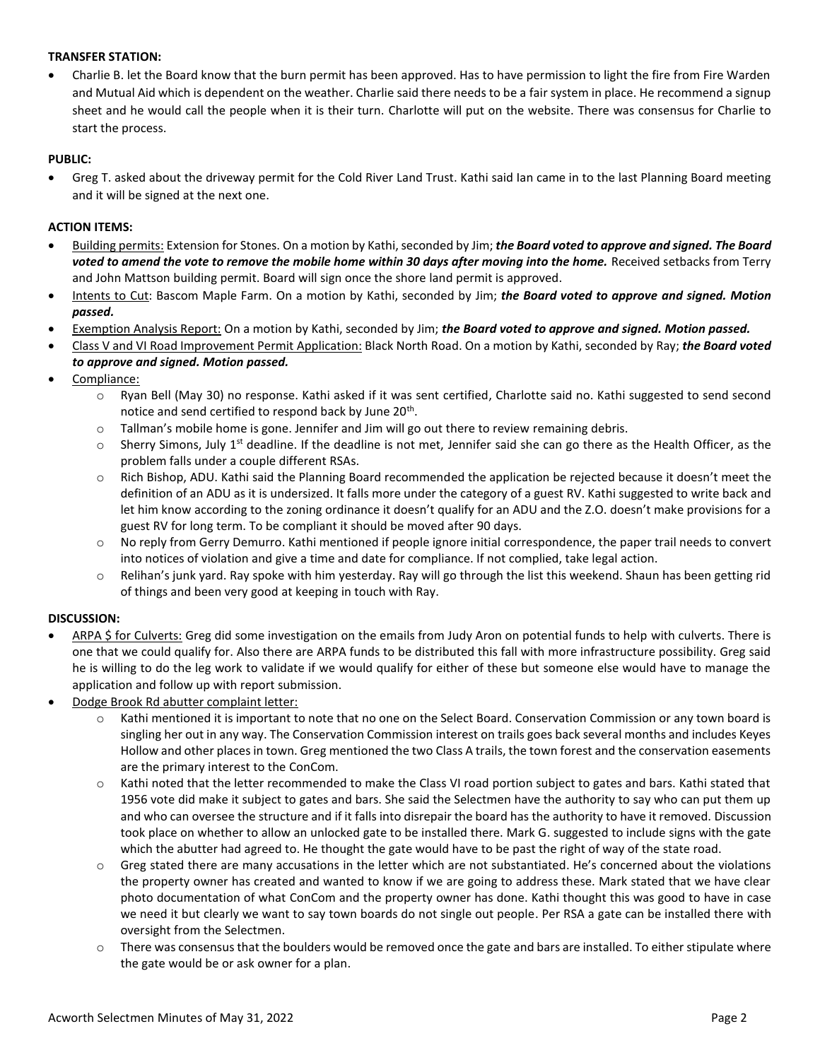# **TRANSFER STATION:**

 Charlie B. let the Board know that the burn permit has been approved. Has to have permission to light the fire from Fire Warden and Mutual Aid which is dependent on the weather. Charlie said there needs to be a fair system in place. He recommend a signup sheet and he would call the people when it is their turn. Charlotte will put on the website. There was consensus for Charlie to start the process.

### **PUBLIC:**

 Greg T. asked about the driveway permit for the Cold River Land Trust. Kathi said Ian came in to the last Planning Board meeting and it will be signed at the next one.

### **ACTION ITEMS:**

- Building permits: Extension for Stones. On a motion by Kathi, seconded by Jim; *the Board voted to approve and signed. The Board voted to amend the vote to remove the mobile home within 30 days after moving into the home.* Received setbacks from Terry and John Mattson building permit. Board will sign once the shore land permit is approved.
- Intents to Cut: Bascom Maple Farm. On a motion by Kathi, seconded by Jim; *the Board voted to approve and signed. Motion passed.*
- Exemption Analysis Report: On a motion by Kathi, seconded by Jim; *the Board voted to approve and signed. Motion passed.*
- Class V and VI Road Improvement Permit Application: Black North Road. On a motion by Kathi, seconded by Ray; *the Board voted to approve and signed. Motion passed.*
- Compliance:
	- o Ryan Bell (May 30) no response. Kathi asked if it was sent certified, Charlotte said no. Kathi suggested to send second notice and send certified to respond back by June 20<sup>th</sup>.
	- $\circ$  Tallman's mobile home is gone. Jennifer and Jim will go out there to review remaining debris.
	- $\circ$  Sherry Simons, July 1<sup>st</sup> deadline. If the deadline is not met, Jennifer said she can go there as the Health Officer, as the problem falls under a couple different RSAs.
	- o Rich Bishop, ADU. Kathi said the Planning Board recommended the application be rejected because it doesn't meet the definition of an ADU as it is undersized. It falls more under the category of a guest RV. Kathi suggested to write back and let him know according to the zoning ordinance it doesn't qualify for an ADU and the Z.O. doesn't make provisions for a guest RV for long term. To be compliant it should be moved after 90 days.
	- $\circ$  No reply from Gerry Demurro. Kathi mentioned if people ignore initial correspondence, the paper trail needs to convert into notices of violation and give a time and date for compliance. If not complied, take legal action.
	- Relihan's junk yard. Ray spoke with him yesterday. Ray will go through the list this weekend. Shaun has been getting rid of things and been very good at keeping in touch with Ray.

#### **DISCUSSION:**

- ARPA \$ for Culverts: Greg did some investigation on the emails from Judy Aron on potential funds to help with culverts. There is one that we could qualify for. Also there are ARPA funds to be distributed this fall with more infrastructure possibility. Greg said he is willing to do the leg work to validate if we would qualify for either of these but someone else would have to manage the application and follow up with report submission.
- Dodge Brook Rd abutter complaint letter:
	- Kathi mentioned it is important to note that no one on the Select Board. Conservation Commission or any town board is singling her out in any way. The Conservation Commission interest on trails goes back several months and includes Keyes Hollow and other places in town. Greg mentioned the two Class A trails, the town forest and the conservation easements are the primary interest to the ConCom.
	- $\circ$  Kathi noted that the letter recommended to make the Class VI road portion subject to gates and bars. Kathi stated that 1956 vote did make it subject to gates and bars. She said the Selectmen have the authority to say who can put them up and who can oversee the structure and if it falls into disrepair the board has the authority to have it removed. Discussion took place on whether to allow an unlocked gate to be installed there. Mark G. suggested to include signs with the gate which the abutter had agreed to. He thought the gate would have to be past the right of way of the state road.
	- Greg stated there are many accusations in the letter which are not substantiated. He's concerned about the violations the property owner has created and wanted to know if we are going to address these. Mark stated that we have clear photo documentation of what ConCom and the property owner has done. Kathi thought this was good to have in case we need it but clearly we want to say town boards do not single out people. Per RSA a gate can be installed there with oversight from the Selectmen.
	- o There was consensus that the boulders would be removed once the gate and bars are installed. To either stipulate where the gate would be or ask owner for a plan.